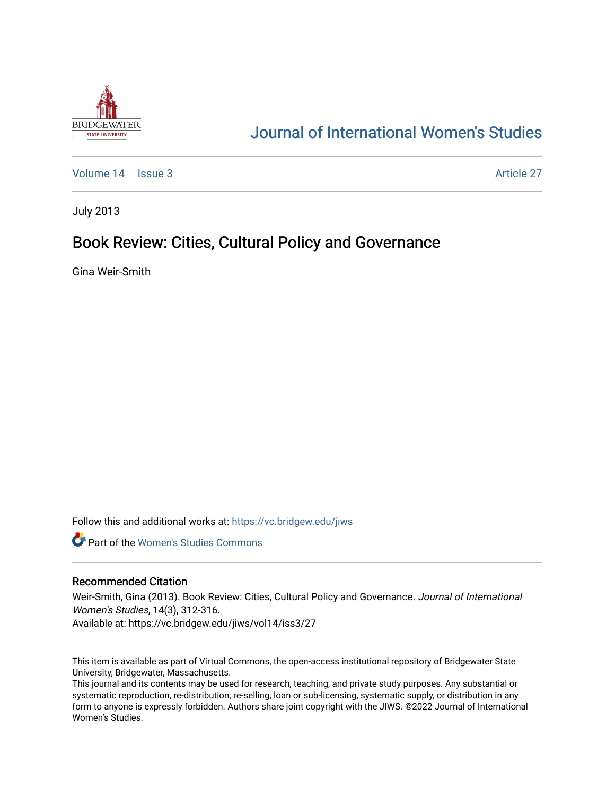

# [Journal of International Women's Studies](https://vc.bridgew.edu/jiws)

[Volume 14](https://vc.bridgew.edu/jiws/vol14) | [Issue 3](https://vc.bridgew.edu/jiws/vol14/iss3) Article 27

July 2013

## Book Review: Cities, Cultural Policy and Governance

Gina Weir-Smith

Follow this and additional works at: [https://vc.bridgew.edu/jiws](https://vc.bridgew.edu/jiws?utm_source=vc.bridgew.edu%2Fjiws%2Fvol14%2Fiss3%2F27&utm_medium=PDF&utm_campaign=PDFCoverPages)

**C** Part of the Women's Studies Commons

#### Recommended Citation

Weir-Smith, Gina (2013). Book Review: Cities, Cultural Policy and Governance. Journal of International Women's Studies, 14(3), 312-316.

Available at: https://vc.bridgew.edu/jiws/vol14/iss3/27

This item is available as part of Virtual Commons, the open-access institutional repository of Bridgewater State University, Bridgewater, Massachusetts.

This journal and its contents may be used for research, teaching, and private study purposes. Any substantial or systematic reproduction, re-distribution, re-selling, loan or sub-licensing, systematic supply, or distribution in any form to anyone is expressly forbidden. Authors share joint copyright with the JIWS. ©2022 Journal of International Women's Studies.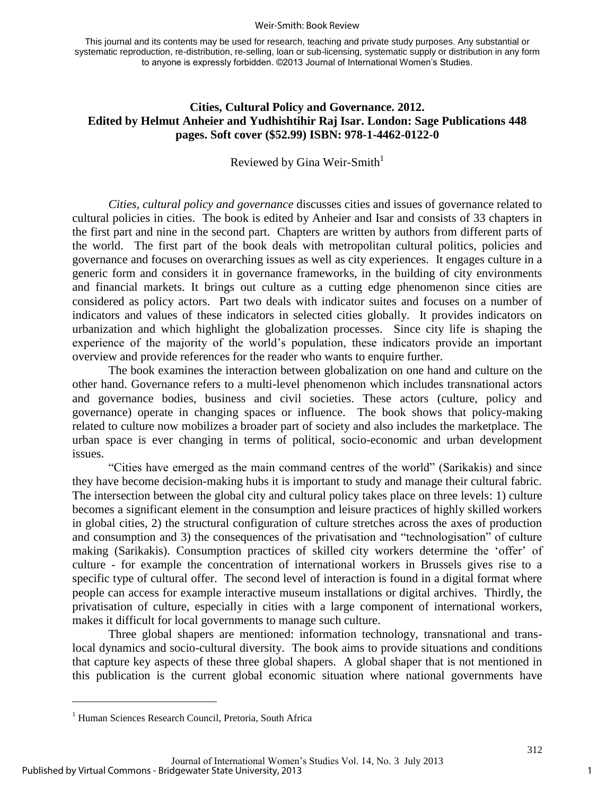#### Weir-Smith: Book Review

This journal and its contents may be used for research, teaching and private study purposes. Any substantial or systematic reproduction, re-distribution, re-selling, loan or sub-licensing, systematic supply or distribution in any form to anyone is expressly forbidden. ©2013 Journal of International Women's Studies.

### **Cities, Cultural Policy and Governance. 2012. Edited by Helmut Anheier and Yudhishtihir Raj Isar. London: Sage Publications 448 pages. Soft cover (\$52.99) ISBN: 978-1-4462-0122-0**

Reviewed by Gina Weir-Smith $1$ 

*Cities, cultural policy and governance* discusses cities and issues of governance related to cultural policies in cities. The book is edited by Anheier and Isar and consists of 33 chapters in the first part and nine in the second part. Chapters are written by authors from different parts of the world. The first part of the book deals with metropolitan cultural politics, policies and governance and focuses on overarching issues as well as city experiences. It engages culture in a generic form and considers it in governance frameworks, in the building of city environments and financial markets. It brings out culture as a cutting edge phenomenon since cities are considered as policy actors. Part two deals with indicator suites and focuses on a number of indicators and values of these indicators in selected cities globally. It provides indicators on urbanization and which highlight the globalization processes. Since city life is shaping the experience of the majority of the world's population, these indicators provide an important overview and provide references for the reader who wants to enquire further.

The book examines the interaction between globalization on one hand and culture on the other hand. Governance refers to a multi-level phenomenon which includes transnational actors and governance bodies, business and civil societies. These actors (culture, policy and governance) operate in changing spaces or influence. The book shows that policy-making related to culture now mobilizes a broader part of society and also includes the marketplace. The urban space is ever changing in terms of political, socio-economic and urban development issues.

"Cities have emerged as the main command centres of the world" (Sarikakis) and since they have become decision-making hubs it is important to study and manage their cultural fabric. The intersection between the global city and cultural policy takes place on three levels: 1) culture becomes a significant element in the consumption and leisure practices of highly skilled workers in global cities, 2) the structural configuration of culture stretches across the axes of production and consumption and 3) the consequences of the privatisation and "technologisation" of culture making (Sarikakis). Consumption practices of skilled city workers determine the 'offer' of culture - for example the concentration of international workers in Brussels gives rise to a specific type of cultural offer. The second level of interaction is found in a digital format where people can access for example interactive museum installations or digital archives. Thirdly, the privatisation of culture, especially in cities with a large component of international workers, makes it difficult for local governments to manage such culture.

Three global shapers are mentioned: information technology, transnational and translocal dynamics and socio-cultural diversity. The book aims to provide situations and conditions that capture key aspects of these three global shapers. A global shaper that is not mentioned in this publication is the current global economic situation where national governments have

 $\overline{a}$ 

<sup>&</sup>lt;sup>1</sup> Human Sciences Research Council, Pretoria, South Africa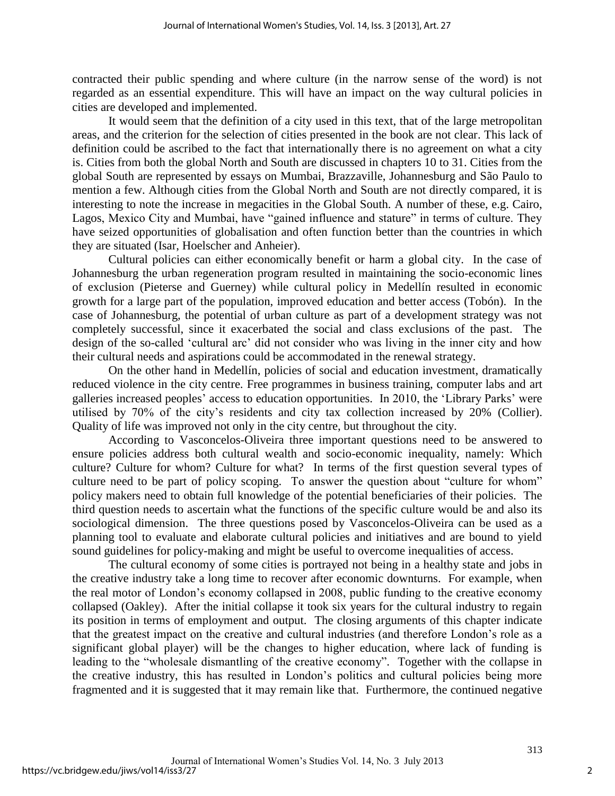contracted their public spending and where culture (in the narrow sense of the word) is not regarded as an essential expenditure. This will have an impact on the way cultural policies in cities are developed and implemented.

It would seem that the definition of a city used in this text, that of the large metropolitan areas, and the criterion for the selection of cities presented in the book are not clear. This lack of definition could be ascribed to the fact that internationally there is no agreement on what a city is. Cities from both the global North and South are discussed in chapters 10 to 31. Cities from the global South are represented by essays on Mumbai, Brazzaville, Johannesburg and São Paulo to mention a few. Although cities from the Global North and South are not directly compared, it is interesting to note the increase in megacities in the Global South. A number of these, e.g. Cairo, Lagos, Mexico City and Mumbai, have "gained influence and stature" in terms of culture. They have seized opportunities of globalisation and often function better than the countries in which they are situated (Isar, Hoelscher and Anheier).

Cultural policies can either economically benefit or harm a global city. In the case of Johannesburg the urban regeneration program resulted in maintaining the socio-economic lines of exclusion (Pieterse and Guerney) while cultural policy in Medellín resulted in economic growth for a large part of the population, improved education and better access (Tobón). In the case of Johannesburg, the potential of urban culture as part of a development strategy was not completely successful, since it exacerbated the social and class exclusions of the past. The design of the so-called 'cultural arc' did not consider who was living in the inner city and how their cultural needs and aspirations could be accommodated in the renewal strategy.

On the other hand in Medellín, policies of social and education investment, dramatically reduced violence in the city centre. Free programmes in business training, computer labs and art galleries increased peoples' access to education opportunities. In 2010, the 'Library Parks' were utilised by 70% of the city's residents and city tax collection increased by 20% (Collier). Quality of life was improved not only in the city centre, but throughout the city.

According to Vasconcelos-Oliveira three important questions need to be answered to ensure policies address both cultural wealth and socio-economic inequality, namely: Which culture? Culture for whom? Culture for what? In terms of the first question several types of culture need to be part of policy scoping. To answer the question about "culture for whom" policy makers need to obtain full knowledge of the potential beneficiaries of their policies. The third question needs to ascertain what the functions of the specific culture would be and also its sociological dimension. The three questions posed by Vasconcelos-Oliveira can be used as a planning tool to evaluate and elaborate cultural policies and initiatives and are bound to yield sound guidelines for policy-making and might be useful to overcome inequalities of access.

The cultural economy of some cities is portrayed not being in a healthy state and jobs in the creative industry take a long time to recover after economic downturns. For example, when the real motor of London's economy collapsed in 2008, public funding to the creative economy collapsed (Oakley). After the initial collapse it took six years for the cultural industry to regain its position in terms of employment and output. The closing arguments of this chapter indicate that the greatest impact on the creative and cultural industries (and therefore London's role as a significant global player) will be the changes to higher education, where lack of funding is leading to the "wholesale dismantling of the creative economy". Together with the collapse in the creative industry, this has resulted in London's politics and cultural policies being more fragmented and it is suggested that it may remain like that. Furthermore, the continued negative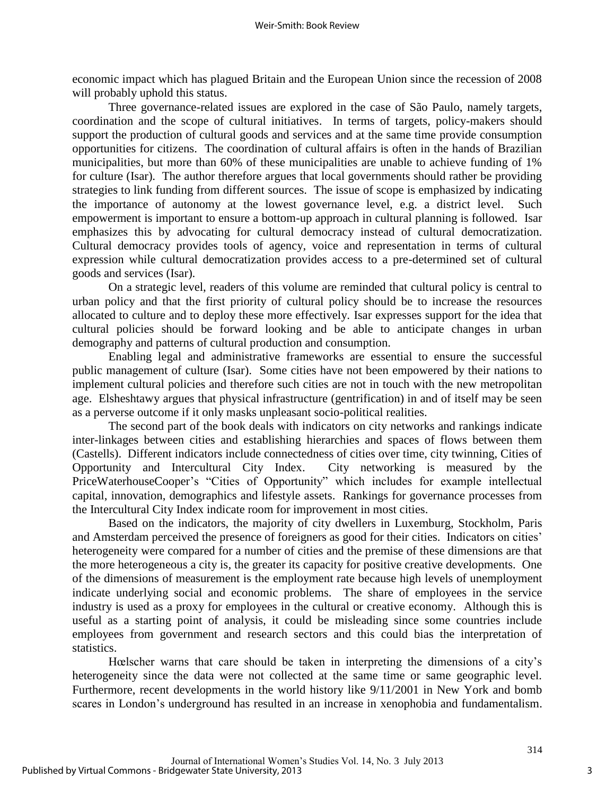economic impact which has plagued Britain and the European Union since the recession of 2008 will probably uphold this status.

Three governance-related issues are explored in the case of São Paulo, namely targets, coordination and the scope of cultural initiatives. In terms of targets, policy-makers should support the production of cultural goods and services and at the same time provide consumption opportunities for citizens. The coordination of cultural affairs is often in the hands of Brazilian municipalities, but more than 60% of these municipalities are unable to achieve funding of 1% for culture (Isar). The author therefore argues that local governments should rather be providing strategies to link funding from different sources. The issue of scope is emphasized by indicating the importance of autonomy at the lowest governance level, e.g. a district level. Such empowerment is important to ensure a bottom-up approach in cultural planning is followed. Isar emphasizes this by advocating for cultural democracy instead of cultural democratization. Cultural democracy provides tools of agency, voice and representation in terms of cultural expression while cultural democratization provides access to a pre-determined set of cultural goods and services (Isar).

On a strategic level, readers of this volume are reminded that cultural policy is central to urban policy and that the first priority of cultural policy should be to increase the resources allocated to culture and to deploy these more effectively. Isar expresses support for the idea that cultural policies should be forward looking and be able to anticipate changes in urban demography and patterns of cultural production and consumption.

Enabling legal and administrative frameworks are essential to ensure the successful public management of culture (Isar). Some cities have not been empowered by their nations to implement cultural policies and therefore such cities are not in touch with the new metropolitan age. Elsheshtawy argues that physical infrastructure (gentrification) in and of itself may be seen as a perverse outcome if it only masks unpleasant socio-political realities.

The second part of the book deals with indicators on city networks and rankings indicate inter-linkages between cities and establishing hierarchies and spaces of flows between them (Castells). Different indicators include connectedness of cities over time, city twinning, Cities of Opportunity and Intercultural City Index. City networking is measured by the PriceWaterhouseCooper's "Cities of Opportunity" which includes for example intellectual capital, innovation, demographics and lifestyle assets. Rankings for governance processes from the Intercultural City Index indicate room for improvement in most cities.

Based on the indicators, the majority of city dwellers in Luxemburg, Stockholm, Paris and Amsterdam perceived the presence of foreigners as good for their cities. Indicators on cities' heterogeneity were compared for a number of cities and the premise of these dimensions are that the more heterogeneous a city is, the greater its capacity for positive creative developments. One of the dimensions of measurement is the employment rate because high levels of unemployment indicate underlying social and economic problems. The share of employees in the service industry is used as a proxy for employees in the cultural or creative economy. Although this is useful as a starting point of analysis, it could be misleading since some countries include employees from government and research sectors and this could bias the interpretation of statistics.

Hœlscher warns that care should be taken in interpreting the dimensions of a city's heterogeneity since the data were not collected at the same time or same geographic level. Furthermore, recent developments in the world history like 9/11/2001 in New York and bomb scares in London's underground has resulted in an increase in xenophobia and fundamentalism.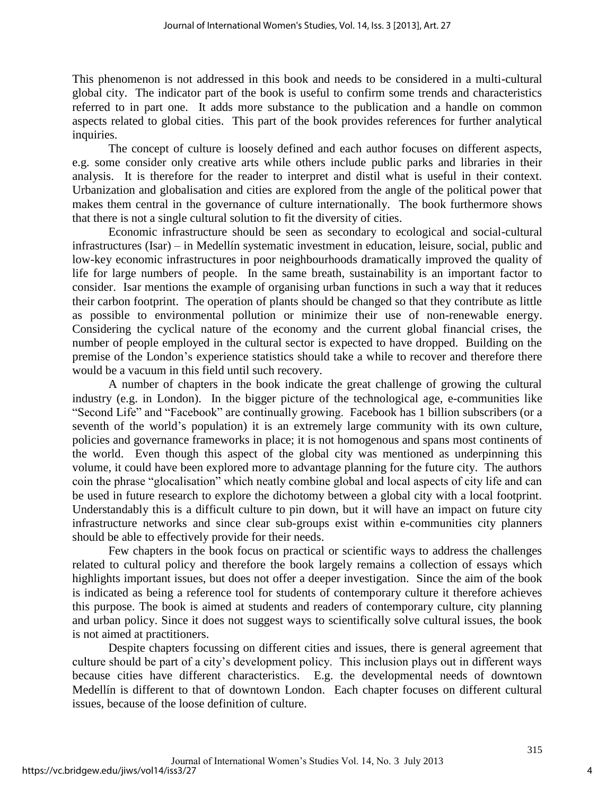This phenomenon is not addressed in this book and needs to be considered in a multi-cultural global city. The indicator part of the book is useful to confirm some trends and characteristics referred to in part one. It adds more substance to the publication and a handle on common aspects related to global cities. This part of the book provides references for further analytical inquiries.

The concept of culture is loosely defined and each author focuses on different aspects, e.g. some consider only creative arts while others include public parks and libraries in their analysis. It is therefore for the reader to interpret and distil what is useful in their context. Urbanization and globalisation and cities are explored from the angle of the political power that makes them central in the governance of culture internationally. The book furthermore shows that there is not a single cultural solution to fit the diversity of cities.

Economic infrastructure should be seen as secondary to ecological and social-cultural infrastructures (Isar) – in Medellín systematic investment in education, leisure, social, public and low-key economic infrastructures in poor neighbourhoods dramatically improved the quality of life for large numbers of people. In the same breath, sustainability is an important factor to consider. Isar mentions the example of organising urban functions in such a way that it reduces their carbon footprint. The operation of plants should be changed so that they contribute as little as possible to environmental pollution or minimize their use of non-renewable energy. Considering the cyclical nature of the economy and the current global financial crises, the number of people employed in the cultural sector is expected to have dropped. Building on the premise of the London's experience statistics should take a while to recover and therefore there would be a vacuum in this field until such recovery.

A number of chapters in the book indicate the great challenge of growing the cultural industry (e.g. in London). In the bigger picture of the technological age, e-communities like "Second Life" and "Facebook" are continually growing. Facebook has 1 billion subscribers (or a seventh of the world's population) it is an extremely large community with its own culture, policies and governance frameworks in place; it is not homogenous and spans most continents of the world. Even though this aspect of the global city was mentioned as underpinning this volume, it could have been explored more to advantage planning for the future city. The authors coin the phrase "glocalisation" which neatly combine global and local aspects of city life and can be used in future research to explore the dichotomy between a global city with a local footprint. Understandably this is a difficult culture to pin down, but it will have an impact on future city infrastructure networks and since clear sub-groups exist within e-communities city planners should be able to effectively provide for their needs.

Few chapters in the book focus on practical or scientific ways to address the challenges related to cultural policy and therefore the book largely remains a collection of essays which highlights important issues, but does not offer a deeper investigation. Since the aim of the book is indicated as being a reference tool for students of contemporary culture it therefore achieves this purpose. The book is aimed at students and readers of contemporary culture, city planning and urban policy. Since it does not suggest ways to scientifically solve cultural issues, the book is not aimed at practitioners.

Despite chapters focussing on different cities and issues, there is general agreement that culture should be part of a city's development policy. This inclusion plays out in different ways because cities have different characteristics. E.g. the developmental needs of downtown Medellín is different to that of downtown London. Each chapter focuses on different cultural issues, because of the loose definition of culture.